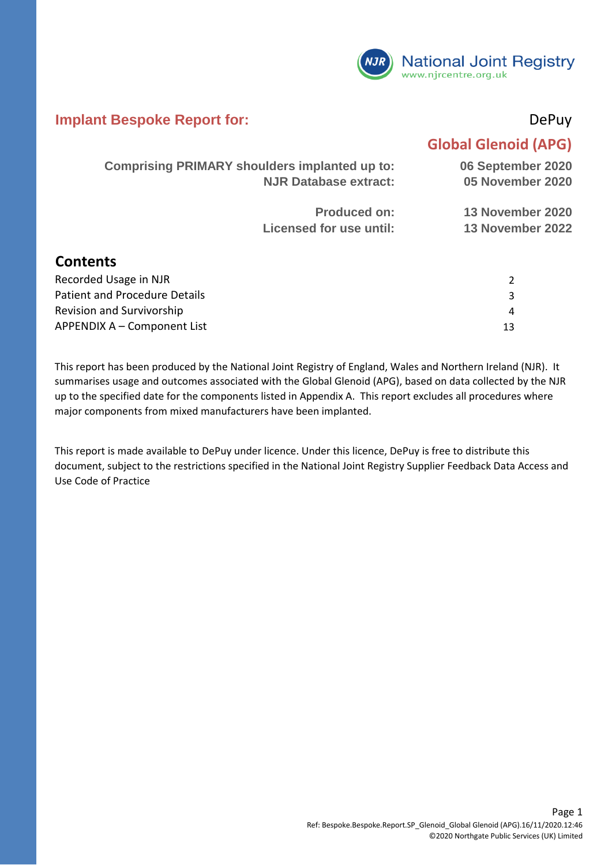

#### **Implant Bespoke Report for:** DePuy

#### **Global Glenoid (APG)**

3 4 13

|                       | <b>Comprising PRIMARY shoulders implanted up to:</b> | 06 September 2020 |
|-----------------------|------------------------------------------------------|-------------------|
|                       | <b>NJR Database extract:</b>                         | 05 November 2020  |
|                       | <b>Produced on:</b>                                  | 13 November 2020  |
|                       | Licensed for use until:                              | 13 November 2022  |
| <b>Contents</b>       |                                                      |                   |
| Recorded Usage in NJR |                                                      | 2                 |

APPENDIX A – Component List Patient and Procedure Details Revision and Survivorship

This report has been produced by the National Joint Registry of England, Wales and Northern Ireland (NJR). It summarises usage and outcomes associated with the Global Glenoid (APG), based on data collected by the NJR up to the specified date for the components listed in Appendix A. This report excludes all procedures where major components from mixed manufacturers have been implanted.

This report is made available to DePuy under licence. Under this licence, DePuy is free to distribute this document, subject to the restrictions specified in the National Joint Registry Supplier Feedback Data Access and Use Code of Practice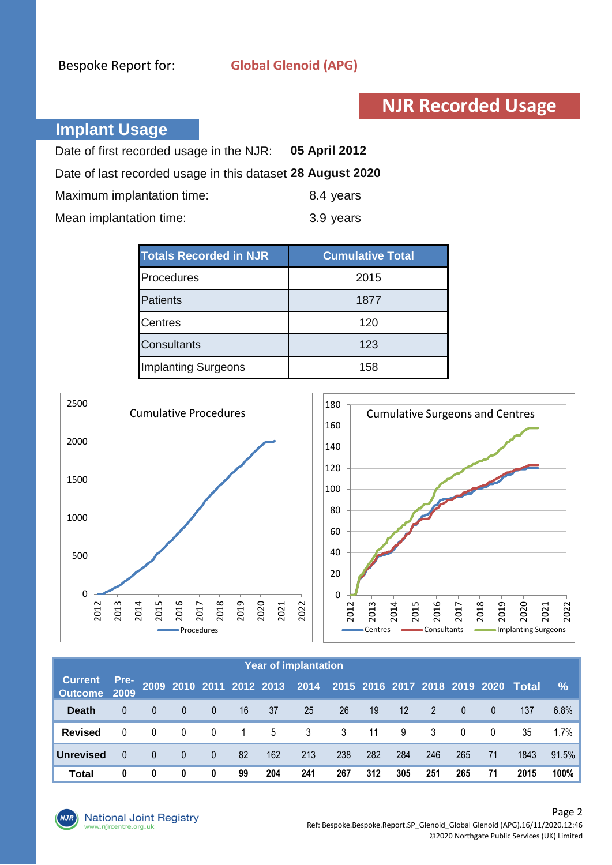### **NJR Recorded Usage**

#### **Implant Usage**

| Date of first recorded usage in the NJR: 05 April 2012     |           |
|------------------------------------------------------------|-----------|
| Date of last recorded usage in this dataset 28 August 2020 |           |
| Maximum implantation time:                                 | 8.4 years |
| Mean implantation time:                                    | 3.9 years |

| <b>Totals Recorded in NJR</b> | <b>Cumulative Total</b> |
|-------------------------------|-------------------------|
| Procedures                    | 2015                    |
| Patients                      | 1877                    |
| <b>Centres</b>                | 120                     |
| <b>Consultants</b>            | 123                     |
| <b>Implanting Surgeons</b>    | 158                     |



|                                |          |          |                |                |                |     | <b>Year of implantation</b> |           |     |                   |                |                |                |                                                                   |               |
|--------------------------------|----------|----------|----------------|----------------|----------------|-----|-----------------------------|-----------|-----|-------------------|----------------|----------------|----------------|-------------------------------------------------------------------|---------------|
| <b>Current</b><br>Outcome 2009 | Pre-     |          |                |                |                |     |                             |           |     |                   |                |                |                | 2009 2010 2011 2012 2013 2014 2015 2016 2017 2018 2019 2020 Total | $\frac{9}{6}$ |
| <b>Death</b>                   |          | $\Omega$ | $\overline{0}$ | $\overline{0}$ | 16             | 37  | 25                          | <b>26</b> | 19  | $12 \overline{ }$ | $\overline{2}$ | $\overline{0}$ | $\overline{0}$ | 137                                                               | 6.8%          |
| <b>Revised</b>                 |          | $\Omega$ | 0              | 0              | $\overline{1}$ | 5   | 3                           | 3         | 11  | 9                 | 3              | $\mathbf{0}$   | 0              | 35                                                                | 1.7%          |
| <b>Unrevised</b>               | $\Omega$ | $\Omega$ | $\mathbf{0}$   | $\mathbf{0}$   | 82             | 162 | 213                         | 238       | 282 | 284               | 246            | 265            | 71             | 1843                                                              | 91.5%         |
| <b>Total</b>                   | 0        | 0        | 0              | 0              | 99             | 204 | 241                         | 267       | 312 | 305               | 251            | 265            | 71             | 2015                                                              | 100%          |

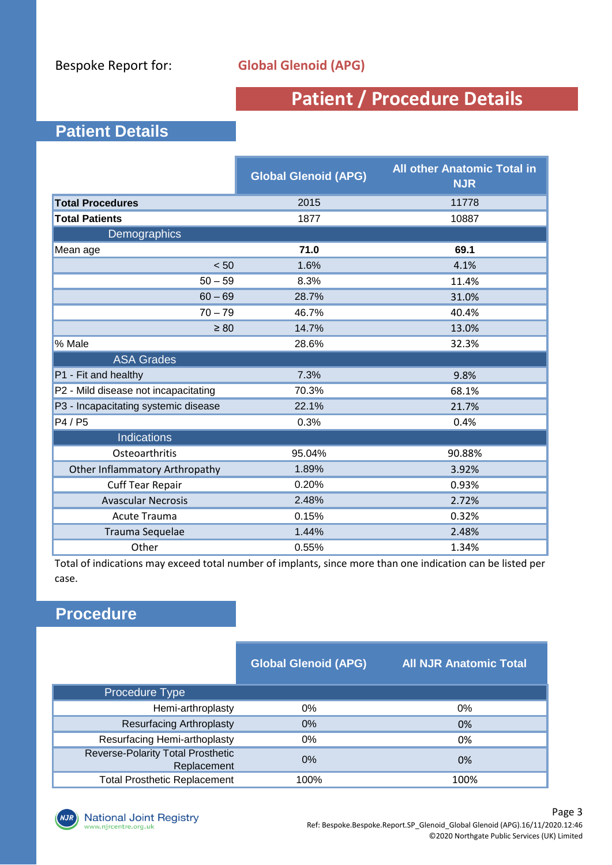## **Patient / Procedure Details**

#### **Patient Details**

|                                       | <b>Global Glenoid (APG)</b> | <b>All other Anatomic Total in</b><br><b>NJR</b> |
|---------------------------------------|-----------------------------|--------------------------------------------------|
| <b>Total Procedures</b>               | 2015                        | 11778                                            |
| <b>Total Patients</b>                 | 1877                        | 10887                                            |
| Demographics                          |                             |                                                  |
| Mean age                              | 71.0                        | 69.1                                             |
| < 50                                  | 1.6%                        | 4.1%                                             |
| $50 - 59$                             | 8.3%                        | 11.4%                                            |
| $60 - 69$                             | 28.7%                       | 31.0%                                            |
| $70 - 79$                             | 46.7%                       | 40.4%                                            |
| $\geq 80$                             | 14.7%                       | 13.0%                                            |
| % Male                                | 28.6%                       | 32.3%                                            |
| <b>ASA Grades</b>                     |                             |                                                  |
| P1 - Fit and healthy                  | 7.3%                        | 9.8%                                             |
| P2 - Mild disease not incapacitating  | 70.3%                       | 68.1%                                            |
| P3 - Incapacitating systemic disease  | 22.1%                       | 21.7%                                            |
| P4 / P5                               | 0.3%                        | 0.4%                                             |
| <b>Indications</b>                    |                             |                                                  |
| Osteoarthritis                        | 95.04%                      | 90.88%                                           |
| <b>Other Inflammatory Arthropathy</b> | 1.89%                       | 3.92%                                            |
| <b>Cuff Tear Repair</b>               | 0.20%                       | 0.93%                                            |
| <b>Avascular Necrosis</b>             | 2.48%                       | 2.72%                                            |
| <b>Acute Trauma</b>                   | 0.15%                       | 0.32%                                            |
| Trauma Sequelae                       | 1.44%                       | 2.48%                                            |
| Other                                 | 0.55%                       | 1.34%                                            |

Total of indications may exceed total number of implants, since more than one indication can be listed per case.

#### **Procedure**

|                                                         | <b>Global Glenoid (APG)</b> | All NJR Anatomic Total |
|---------------------------------------------------------|-----------------------------|------------------------|
| Procedure Type                                          |                             |                        |
| Hemi-arthroplasty                                       | $0\%$                       | 0%                     |
| <b>Resurfacing Arthroplasty</b>                         | $0\%$                       | 0%                     |
| Resurfacing Hemi-arthoplasty                            | 0%                          | 0%                     |
| <b>Reverse-Polarity Total Prosthetic</b><br>Replacement | $0\%$                       | 0%                     |
| <b>Total Prosthetic Replacement</b>                     | 100%                        | 100%                   |

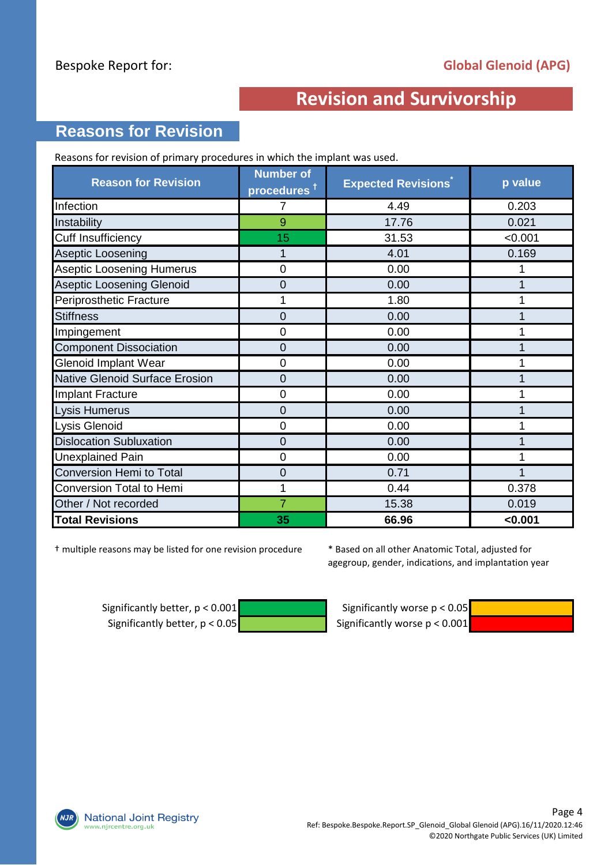### **Reasons for Revision**

Reasons for revision of primary procedures in which the implant was used.

| <b>Reason for Revision</b>            | <b>Number of</b><br>procedures <sup>†</sup> | <b>Expected Revisions</b> | p value |
|---------------------------------------|---------------------------------------------|---------------------------|---------|
| Infection                             | 7                                           | 4.49                      | 0.203   |
| Instability                           | 9                                           | 17.76                     | 0.021   |
| <b>Cuff Insufficiency</b>             | 15                                          | 31.53                     | < 0.001 |
| Aseptic Loosening                     |                                             | 4.01                      | 0.169   |
| <b>Aseptic Loosening Humerus</b>      | 0                                           | 0.00                      |         |
| <b>Aseptic Loosening Glenoid</b>      | 0                                           | 0.00                      |         |
| Periprosthetic Fracture               |                                             | 1.80                      |         |
| <b>Stiffness</b>                      | 0                                           | 0.00                      |         |
| Impingement                           | $\overline{0}$                              | 0.00                      |         |
| <b>Component Dissociation</b>         | 0                                           | 0.00                      |         |
| <b>Glenoid Implant Wear</b>           | 0                                           | 0.00                      |         |
| <b>Native Glenoid Surface Erosion</b> | 0                                           | 0.00                      |         |
| Implant Fracture                      | $\overline{0}$                              | 0.00                      |         |
| Lysis Humerus                         | $\overline{0}$                              | 0.00                      |         |
| Lysis Glenoid                         | 0                                           | 0.00                      |         |
| <b>Dislocation Subluxation</b>        | 0                                           | 0.00                      |         |
| <b>Unexplained Pain</b>               | 0                                           | 0.00                      |         |
| Conversion Hemi to Total              | 0                                           | 0.71                      |         |
| Conversion Total to Hemi              | 1                                           | 0.44                      | 0.378   |
| Other / Not recorded                  | 7                                           | 15.38                     | 0.019   |
| <b>Total Revisions</b>                | 35                                          | 66.96                     | < 0.001 |

† multiple reasons may be listed for one revision procedure

\* Based on all other Anatomic Total, adjusted for agegroup, gender, indications, and implantation year

Significantly better,  $p < 0.001$  Significantly worse  $p < 0.05$ Significantly better,  $p < 0.05$  Significantly worse  $p < 0.001$ 



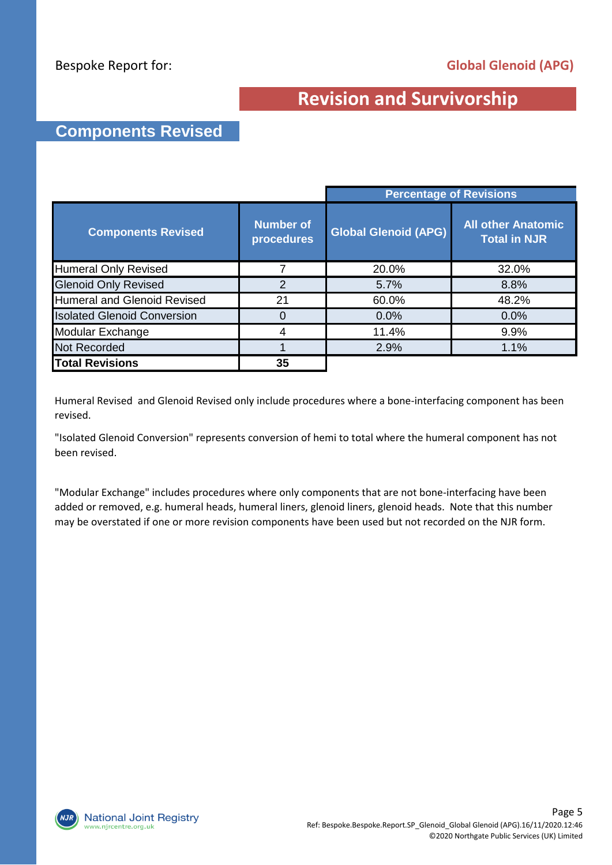#### **Components Revised**

|                                    |                                | <b>Percentage of Revisions</b> |                                                  |  |  |
|------------------------------------|--------------------------------|--------------------------------|--------------------------------------------------|--|--|
| <b>Components Revised</b>          | <b>Number of</b><br>procedures | <b>Global Glenoid (APG)</b>    | <b>All other Anatomic</b><br><b>Total in NJR</b> |  |  |
| <b>Humeral Only Revised</b>        | 7                              | 20.0%                          | 32.0%                                            |  |  |
| <b>Glenoid Only Revised</b>        | 2                              | 5.7%                           | 8.8%                                             |  |  |
| <b>Humeral and Glenoid Revised</b> | 21                             | 60.0%                          | 48.2%                                            |  |  |
| <b>Isolated Glenoid Conversion</b> | 0                              | 0.0%                           | 0.0%                                             |  |  |
| Modular Exchange                   | 4                              | 11.4%                          | 9.9%                                             |  |  |
| <b>Not Recorded</b>                |                                | 2.9%                           | 1.1%                                             |  |  |
| <b>Total Revisions</b>             | 35                             |                                |                                                  |  |  |

Humeral Revised and Glenoid Revised only include procedures where a bone-interfacing component has been revised.

"Isolated Glenoid Conversion" represents conversion of hemi to total where the humeral component has not been revised.

"Modular Exchange" includes procedures where only components that are not bone-interfacing have been added or removed, e.g. humeral heads, humeral liners, glenoid liners, glenoid heads. Note that this number may be overstated if one or more revision components have been used but not recorded on the NJR form.

**National Joint Registry** w.njrcentre.org.uk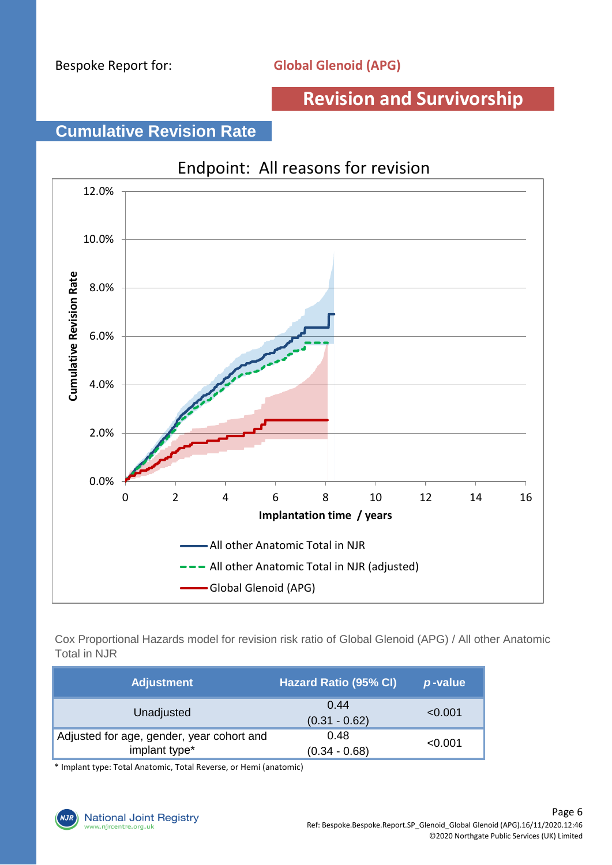### **Cumulative Revision Rate**



Cox Proportional Hazards model for revision risk ratio of Global Glenoid (APG) / All other Anatomic Total in NJR

| <b>Adjustment</b>                                          | <b>Hazard Ratio (95% CI)</b> | p-value |
|------------------------------------------------------------|------------------------------|---------|
| Unadjusted                                                 | 0.44<br>$(0.31 - 0.62)$      | < 0.001 |
| Adjusted for age, gender, year cohort and<br>implant type* | 0.48<br>$(0.34 - 0.68)$      | < 0.001 |

\* Implant type: Total Anatomic, Total Reverse, or Hemi (anatomic)

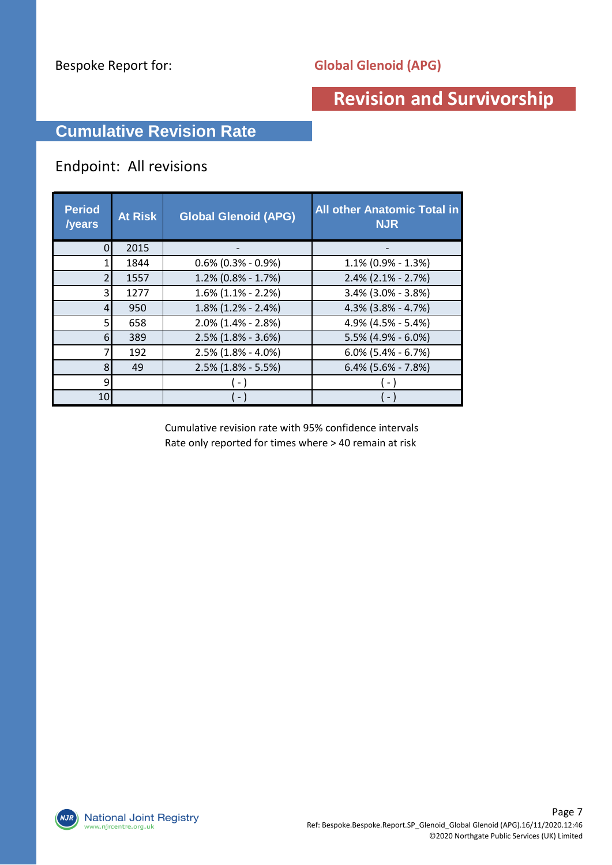### **Cumulative Revision Rate**

#### Endpoint: All revisions

| <b>Period</b><br>/years | <b>At Risk</b> | <b>Global Glenoid (APG)</b> | <b>All other Anatomic Total in</b><br><b>NJR</b> |
|-------------------------|----------------|-----------------------------|--------------------------------------------------|
|                         | 2015           |                             |                                                  |
|                         | 1844           | $0.6\%$ (0.3% - 0.9%)       | $1.1\%$ (0.9% - 1.3%)                            |
|                         | 1557           | $1.2\%$ (0.8% - 1.7%)       | $2.4\%$ (2.1% - 2.7%)                            |
| 3                       | 1277           | $1.6\%$ (1.1% - 2.2%)       | 3.4% (3.0% - 3.8%)                               |
| 4                       | 950            | $1.8\%$ (1.2% - 2.4%)       | $4.3\%$ (3.8% - 4.7%)                            |
|                         | 658            | $2.0\%$ (1.4% - 2.8%)       | 4.9% (4.5% - 5.4%)                               |
| 6                       | 389            | $2.5\%$ (1.8% - 3.6%)       | $5.5\%$ (4.9% - 6.0%)                            |
|                         | 192            | $2.5\%$ (1.8% - 4.0%)       | $6.0\%$ (5.4% - 6.7%)                            |
| 8                       | 49             | $2.5\%$ (1.8% - 5.5%)       | $6.4\%$ (5.6% - 7.8%)                            |
| q                       |                |                             |                                                  |
| 10                      |                |                             |                                                  |

Cumulative revision rate with 95% confidence intervals Rate only reported for times where > 40 remain at risk

**National Joint Registry**  $NJK$ www.njrcentre.org.uk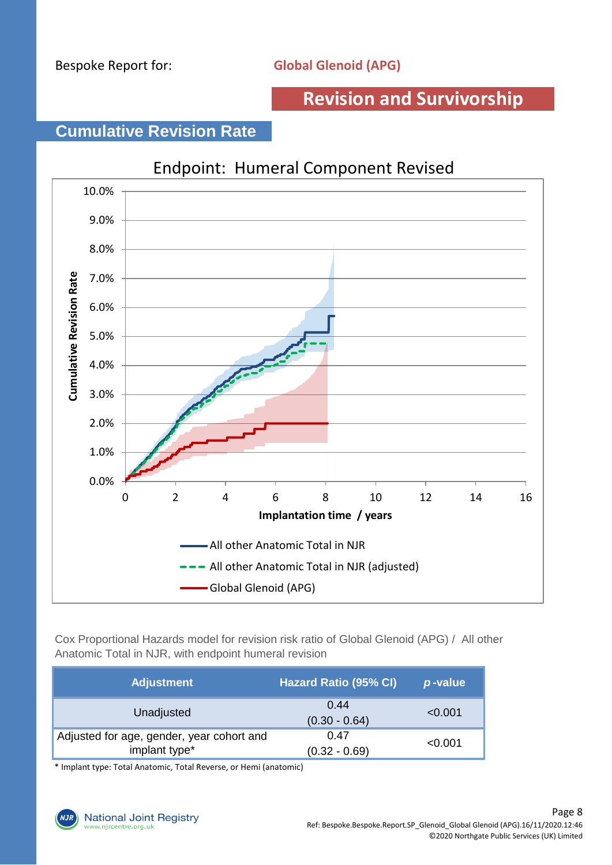### **Cumulative Revision Rate**



Cox Proportional Hazards model for revision risk ratio of Global Glenoid (APG) / All other Anatomic Total in NJR, with endpoint humeral revision

| <b>Adjustment</b>                                          | <b>Hazard Ratio (95% CI)</b> | p-value |
|------------------------------------------------------------|------------------------------|---------|
| Unadjusted                                                 | 0.44<br>$(0.30 - 0.64)$      | < 0.001 |
| Adjusted for age, gender, year cohort and<br>implant type* | 0.47<br>$(0.32 - 0.69)$      | < 0.001 |

\* Implant type: Total Anatomic, Total Reverse, or Hemi (anatomic)

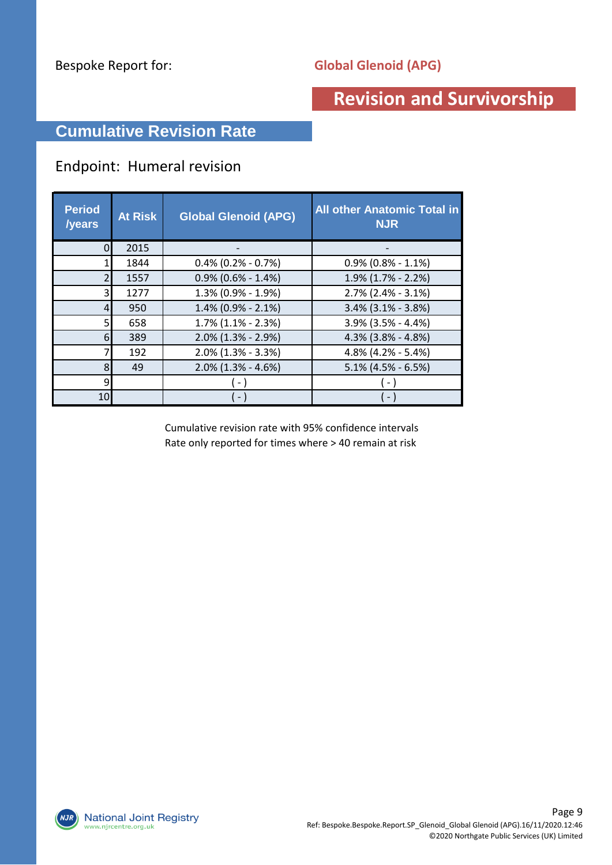### **Cumulative Revision Rate**

#### Endpoint: Humeral revision

| <b>Period</b><br><b>/years</b> | <b>At Risk</b> | <b>Global Glenoid (APG)</b> | <b>All other Anatomic Total in</b><br><b>NJR</b> |
|--------------------------------|----------------|-----------------------------|--------------------------------------------------|
|                                | 2015           |                             |                                                  |
|                                | 1844           | $0.4\%$ (0.2% - 0.7%)       | $0.9\%$ (0.8% - 1.1%)                            |
|                                | 1557           | $0.9\%$ (0.6% - 1.4%)       | $1.9\%$ (1.7% - 2.2%)                            |
| 3                              | 1277           | 1.3% (0.9% - 1.9%)          | $2.7\%$ (2.4% - 3.1%)                            |
| 4                              | 950            | $1.4\%$ (0.9% - 2.1%)       | $3.4\%$ (3.1% - 3.8%)                            |
|                                | 658            | $1.7\%$ $(1.1\% - 2.3\%)$   | 3.9% (3.5% - 4.4%)                               |
| 6                              | 389            | $2.0\%$ (1.3% - 2.9%)       | $4.3\%$ (3.8% - 4.8%)                            |
|                                | 192            | $2.0\%$ (1.3% - 3.3%)       | 4.8% (4.2% - 5.4%)                               |
| 8                              | 49             | $2.0\%$ (1.3% - 4.6%)       | $5.1\%$ (4.5% - 6.5%)                            |
| 9                              |                |                             |                                                  |
| 10                             |                | $\sim$                      |                                                  |

Cumulative revision rate with 95% confidence intervals Rate only reported for times where > 40 remain at risk

**National Joint Registry**  $NJK$ www.njrcentre.org.uk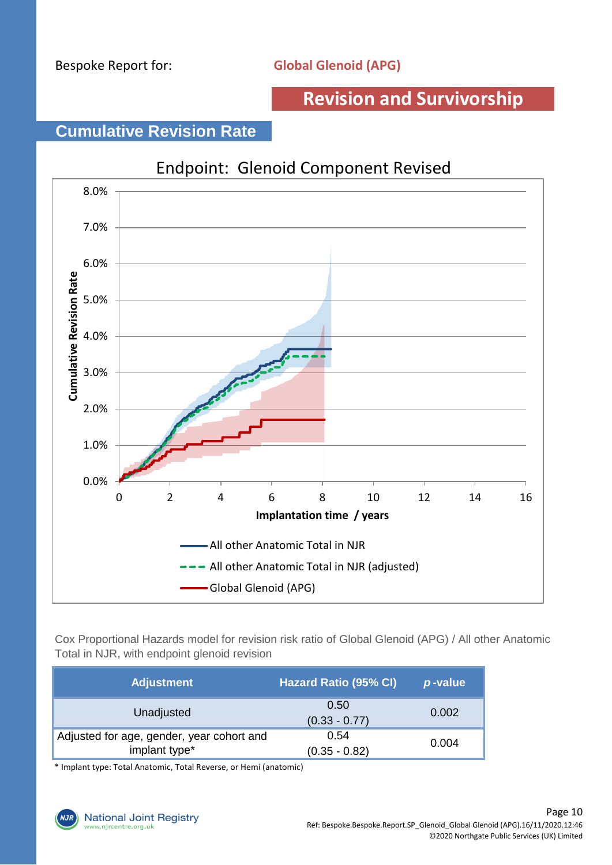### **Cumulative Revision Rate**



Cox Proportional Hazards model for revision risk ratio of Global Glenoid (APG) / All other Anatomic Total in NJR, with endpoint glenoid revision

| <b>Adjustment</b>                                          | <b>Hazard Ratio (95% CI)</b> | p-value |
|------------------------------------------------------------|------------------------------|---------|
| Unadjusted                                                 | 0.50<br>$(0.33 - 0.77)$      | 0.002   |
| Adjusted for age, gender, year cohort and<br>implant type* | 0.54<br>$(0.35 - 0.82)$      | 0.004   |

\* Implant type: Total Anatomic, Total Reverse, or Hemi (anatomic)

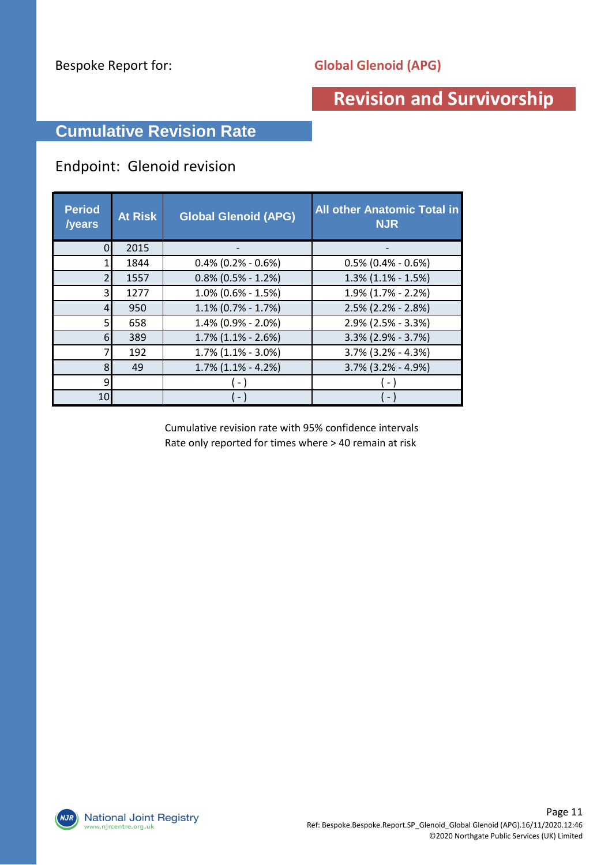### **Cumulative Revision Rate**

#### Endpoint: Glenoid revision

| <b>Period</b><br><b>/years</b> | <b>At Risk</b> | <b>Global Glenoid (APG)</b> | <b>All other Anatomic Total in</b><br><b>NJR</b> |
|--------------------------------|----------------|-----------------------------|--------------------------------------------------|
|                                | 2015           |                             |                                                  |
|                                | 1844           | $0.4\%$ (0.2% - 0.6%)       | $0.5\%$ (0.4% - 0.6%)                            |
|                                | 1557           | $0.8\%$ (0.5% - 1.2%)       | $1.3\%$ (1.1% - 1.5%)                            |
| 3                              | 1277           | $1.0\%$ (0.6% - 1.5%)       | $1.9\%$ (1.7% - 2.2%)                            |
| 4                              | 950            | $1.1\%$ (0.7% - 1.7%)       | $2.5\%$ (2.2% - 2.8%)                            |
|                                | 658            | 1.4% (0.9% - 2.0%)          | 2.9% (2.5% - 3.3%)                               |
| 6                              | 389            | $1.7\%$ (1.1% - 2.6%)       | $3.3\%$ (2.9% - 3.7%)                            |
|                                | 192            | $1.7\%$ (1.1% - 3.0%)       | $3.7\%$ (3.2% - 4.3%)                            |
| 8                              | 49             | $1.7\%$ $(1.1\% - 4.2\%)$   | 3.7% (3.2% - 4.9%)                               |
| 9                              |                |                             |                                                  |
| 10                             |                | $\sim$                      |                                                  |

Cumulative revision rate with 95% confidence intervals Rate only reported for times where > 40 remain at risk

**National Joint Registry**  $NJK$ www.njrcentre.org.uk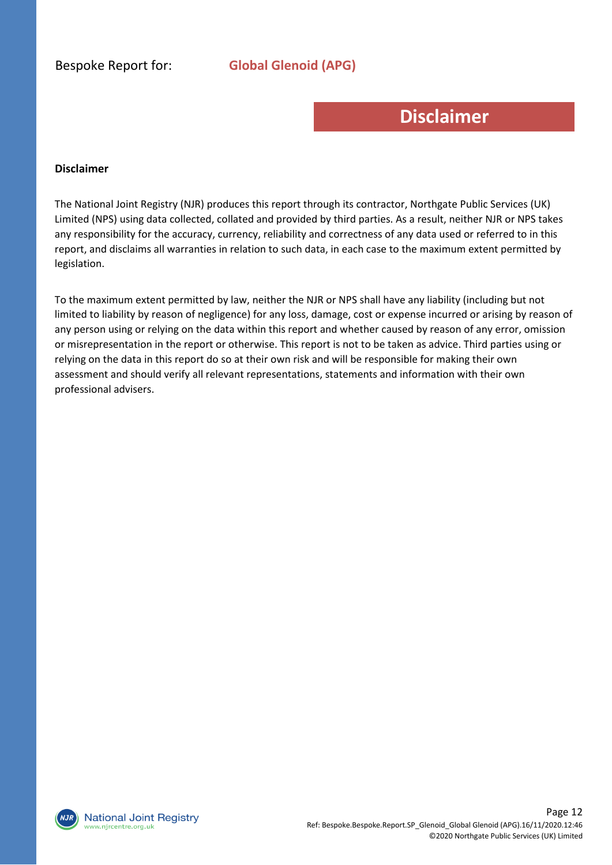Bespoke Report for: **Global Glenoid (APG)**

### **Disclaimer**

#### **Disclaimer**

The National Joint Registry (NJR) produces this report through its contractor, Northgate Public Services (UK) Limited (NPS) using data collected, collated and provided by third parties. As a result, neither NJR or NPS takes any responsibility for the accuracy, currency, reliability and correctness of any data used or referred to in this report, and disclaims all warranties in relation to such data, in each case to the maximum extent permitted by legislation.

To the maximum extent permitted by law, neither the NJR or NPS shall have any liability (including but not limited to liability by reason of negligence) for any loss, damage, cost or expense incurred or arising by reason of any person using or relying on the data within this report and whether caused by reason of any error, omission or misrepresentation in the report or otherwise. This report is not to be taken as advice. Third parties using or relying on the data in this report do so at their own risk and will be responsible for making their own assessment and should verify all relevant representations, statements and information with their own professional advisers.

**National Joint Registry** vw.njrcentre.org.uk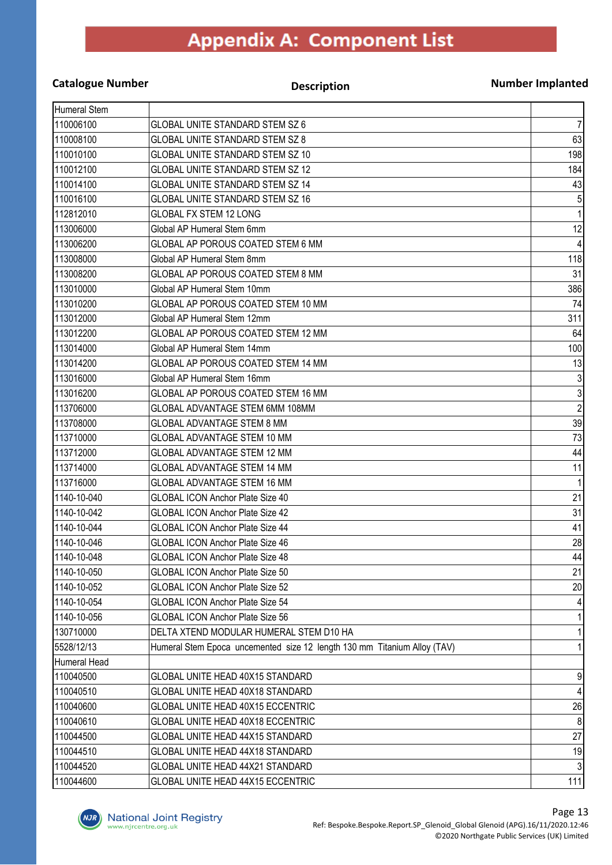#### **Catalogue Number Description**

#### **Number Implanted**

| Humeral Stem |                                                                          |              |
|--------------|--------------------------------------------------------------------------|--------------|
| 110006100    | GLOBAL UNITE STANDARD STEM SZ 6                                          | 7            |
| 110008100    | <b>GLOBAL UNITE STANDARD STEM SZ 8</b>                                   | 63           |
| 110010100    | GLOBAL UNITE STANDARD STEM SZ 10                                         | 198          |
| 110012100    | <b>GLOBAL UNITE STANDARD STEM SZ 12</b>                                  | 184          |
| 110014100    | GLOBAL UNITE STANDARD STEM SZ 14                                         | 43           |
| 110016100    | <b>GLOBAL UNITE STANDARD STEM SZ 16</b>                                  | 5            |
| 112812010    | <b>GLOBAL FX STEM 12 LONG</b>                                            |              |
| 113006000    | Global AP Humeral Stem 6mm                                               | 12           |
| 113006200    | <b>GLOBAL AP POROUS COATED STEM 6 MM</b>                                 |              |
| 113008000    | Global AP Humeral Stem 8mm                                               | 118          |
| 113008200    | GLOBAL AP POROUS COATED STEM 8 MM                                        | 31           |
| 113010000    | Global AP Humeral Stem 10mm                                              | 386          |
| 113010200    | GLOBAL AP POROUS COATED STEM 10 MM                                       | 74           |
| 113012000    | Global AP Humeral Stem 12mm                                              | 311          |
| 113012200    | GLOBAL AP POROUS COATED STEM 12 MM                                       | 64           |
| 113014000    | Global AP Humeral Stem 14mm                                              | 100          |
| 113014200    | GLOBAL AP POROUS COATED STEM 14 MM                                       | 13           |
| 113016000    | Global AP Humeral Stem 16mm                                              | 3            |
| 113016200    | GLOBAL AP POROUS COATED STEM 16 MM                                       | 3            |
| 113706000    | GLOBAL ADVANTAGE STEM 6MM 108MM                                          | $\mathbf{2}$ |
| 113708000    | <b>GLOBAL ADVANTAGE STEM 8 MM</b>                                        | 39           |
| 113710000    | GLOBAL ADVANTAGE STEM 10 MM                                              | 73           |
| 113712000    | <b>GLOBAL ADVANTAGE STEM 12 MM</b>                                       | 44           |
| 113714000    | <b>GLOBAL ADVANTAGE STEM 14 MM</b>                                       | 11           |
| 113716000    | <b>GLOBAL ADVANTAGE STEM 16 MM</b>                                       | 1            |
| 1140-10-040  | <b>GLOBAL ICON Anchor Plate Size 40</b>                                  | 21           |
| 1140-10-042  | <b>GLOBAL ICON Anchor Plate Size 42</b>                                  | 31           |
| 1140-10-044  | <b>GLOBAL ICON Anchor Plate Size 44</b>                                  | 41           |
| 1140-10-046  | <b>GLOBAL ICON Anchor Plate Size 46</b>                                  | 28           |
| 1140-10-048  | <b>GLOBAL ICON Anchor Plate Size 48</b>                                  | 44           |
| 1140-10-050  | GLOBAL ICON Anchor Plate Size 50                                         | 21           |
| 1140-10-052  | <b>GLOBAL ICON Anchor Plate Size 52</b>                                  | 20           |
| 1140-10-054  | <b>GLOBAL ICON Anchor Plate Size 54</b>                                  |              |
| 1140-10-056  | <b>GLOBAL ICON Anchor Plate Size 56</b>                                  |              |
| 130710000    | DELTA XTEND MODULAR HUMERAL STEM D10 HA                                  |              |
| 5528/12/13   | Humeral Stem Epoca uncemented size 12 length 130 mm Titanium Alloy (TAV) |              |
| Humeral Head |                                                                          |              |
| 110040500    | GLOBAL UNITE HEAD 40X15 STANDARD                                         | 9            |
| 110040510    | GLOBAL UNITE HEAD 40X18 STANDARD                                         | 4            |
| 110040600    | GLOBAL UNITE HEAD 40X15 ECCENTRIC                                        | 26           |
| 110040610    | GLOBAL UNITE HEAD 40X18 ECCENTRIC                                        | 8            |
| 110044500    | GLOBAL UNITE HEAD 44X15 STANDARD                                         | 27           |
| 110044510    | GLOBAL UNITE HEAD 44X18 STANDARD                                         | 19           |
| 110044520    | GLOBAL UNITE HEAD 44X21 STANDARD                                         |              |
| 110044600    | GLOBAL UNITE HEAD 44X15 ECCENTRIC                                        | 111          |

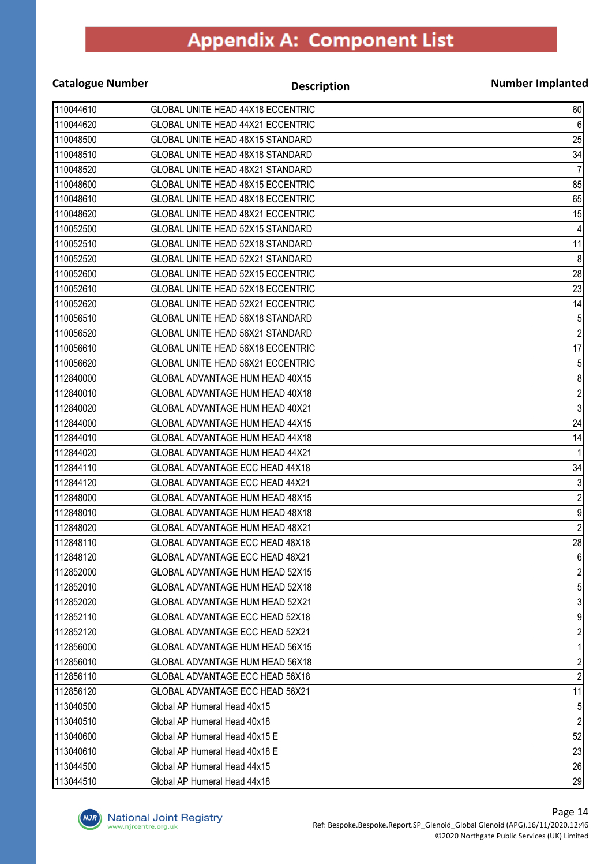| <b>Catalogue Number</b> | <b>Description</b>                       | <b>Number Implanted</b> |
|-------------------------|------------------------------------------|-------------------------|
| 110044610               | GLOBAL UNITE HEAD 44X18 ECCENTRIC        | 60                      |
| 110044620               | GLOBAL UNITE HEAD 44X21 ECCENTRIC        | 6                       |
| 110048500               | GLOBAL UNITE HEAD 48X15 STANDARD         | 25                      |
| 110048510               | GLOBAL UNITE HEAD 48X18 STANDARD         | 34                      |
| 110048520               | GLOBAL UNITE HEAD 48X21 STANDARD         | $\overline{7}$          |
| 110048600               | GLOBAL UNITE HEAD 48X15 ECCENTRIC        | 85                      |
| 110048610               | GLOBAL UNITE HEAD 48X18 ECCENTRIC        | 65                      |
| 110048620               | GLOBAL UNITE HEAD 48X21 ECCENTRIC        | 15                      |
| 110052500               | GLOBAL UNITE HEAD 52X15 STANDARD         | 4                       |
| 110052510               | GLOBAL UNITE HEAD 52X18 STANDARD         | 11                      |
| 110052520               | GLOBAL UNITE HEAD 52X21 STANDARD         | 8                       |
| 110052600               | GLOBAL UNITE HEAD 52X15 ECCENTRIC        | 28                      |
| 110052610               | GLOBAL UNITE HEAD 52X18 ECCENTRIC        | 23                      |
| 110052620               | <b>GLOBAL UNITE HEAD 52X21 ECCENTRIC</b> | 14                      |
| 110056510               | GLOBAL UNITE HEAD 56X18 STANDARD         | $\sqrt{5}$              |
| 110056520               | GLOBAL UNITE HEAD 56X21 STANDARD         | $\overline{2}$          |
| 110056610               | GLOBAL UNITE HEAD 56X18 ECCENTRIC        | 17                      |
| 110056620               | GLOBAL UNITE HEAD 56X21 ECCENTRIC        | 5                       |
| 112840000               | GLOBAL ADVANTAGE HUM HEAD 40X15          | 8                       |
| 112840010               | GLOBAL ADVANTAGE HUM HEAD 40X18          | $\overline{\mathbf{c}}$ |
| 112840020               | GLOBAL ADVANTAGE HUM HEAD 40X21          | $\overline{3}$          |
| 112844000               | GLOBAL ADVANTAGE HUM HEAD 44X15          | 24                      |
| 112844010               | GLOBAL ADVANTAGE HUM HEAD 44X18          | 14                      |
| 112844020               | GLOBAL ADVANTAGE HUM HEAD 44X21          | 1                       |
| 112844110               | GLOBAL ADVANTAGE ECC HEAD 44X18          | 34                      |
| 112844120               | GLOBAL ADVANTAGE ECC HEAD 44X21          | $\sqrt{3}$              |
| 112848000               | GLOBAL ADVANTAGE HUM HEAD 48X15          | $\overline{\mathbf{c}}$ |
| 112848010               | GLOBAL ADVANTAGE HUM HEAD 48X18          | $\overline{9}$          |
| 112848020               | GLOBAL ADVANTAGE HUM HEAD 48X21          | $\overline{2}$          |
| 112848110               | <b>GLOBAL ADVANTAGE ECC HEAD 48X18</b>   | 28                      |
| 112848120               | GLOBAL ADVANTAGE ECC HEAD 48X21          | 6                       |
| 112852000               | GLOBAL ADVANTAGE HUM HEAD 52X15          | $\overline{\mathbf{c}}$ |
| 112852010               | GLOBAL ADVANTAGE HUM HEAD 52X18          | 5                       |
| 112852020               | <b>GLOBAL ADVANTAGE HUM HEAD 52X21</b>   | 3                       |
| 112852110               | GLOBAL ADVANTAGE ECC HEAD 52X18          | 9                       |
| 112852120               | <b>GLOBAL ADVANTAGE ECC HEAD 52X21</b>   | $\overline{c}$          |
| 112856000               | GLOBAL ADVANTAGE HUM HEAD 56X15          |                         |
| 112856010               | <b>GLOBAL ADVANTAGE HUM HEAD 56X18</b>   | $\overline{2}$          |
| 112856110               | GLOBAL ADVANTAGE ECC HEAD 56X18          | $\overline{2}$          |
| 112856120               | GLOBAL ADVANTAGE ECC HEAD 56X21          | 11                      |
| 113040500               | Global AP Humeral Head 40x15             | 5                       |
| 113040510               | Global AP Humeral Head 40x18             | $\overline{c}$          |
| 113040600               | Global AP Humeral Head 40x15 E           | 52                      |
| 113040610               | Global AP Humeral Head 40x18 E           | 23                      |
| 113044500               | Global AP Humeral Head 44x15             | 26                      |
| 113044510               | Global AP Humeral Head 44x18             | 29                      |

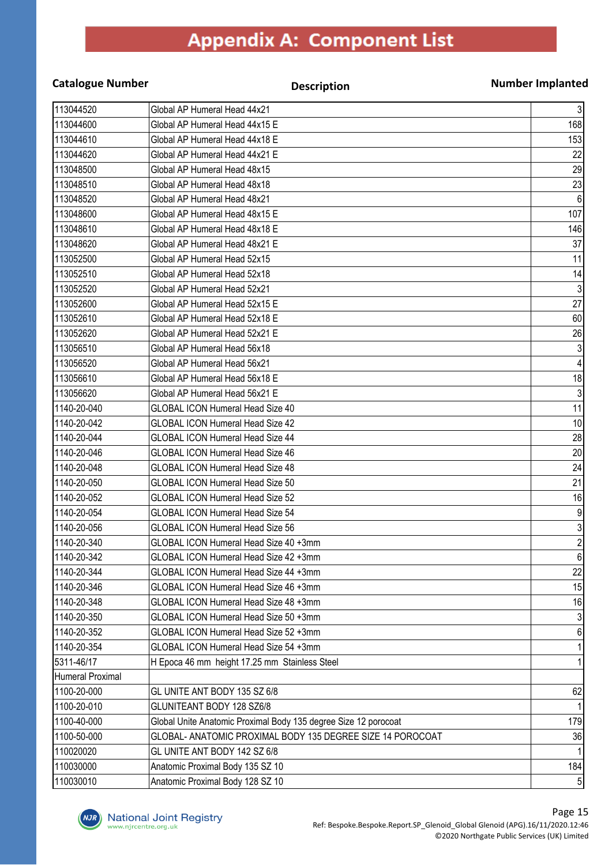| <b>Catalogue Number</b> | <b>Description</b>                                              | <b>Number Implanted</b> |
|-------------------------|-----------------------------------------------------------------|-------------------------|
| 113044520               | Global AP Humeral Head 44x21                                    | $\mathbf{3}$            |
| 113044600               | Global AP Humeral Head 44x15 E                                  | 168                     |
| 113044610               | Global AP Humeral Head 44x18 E                                  | 153                     |
| 113044620               | Global AP Humeral Head 44x21 E                                  | 22                      |
| 113048500               | Global AP Humeral Head 48x15                                    | 29                      |
| 113048510               | Global AP Humeral Head 48x18                                    | 23                      |
| 113048520               | Global AP Humeral Head 48x21                                    | $6\phantom{1}6$         |
| 113048600               | Global AP Humeral Head 48x15 E                                  | 107                     |
| 113048610               | Global AP Humeral Head 48x18 E                                  | 146                     |
| 113048620               | Global AP Humeral Head 48x21 E                                  | 37                      |
| 113052500               | Global AP Humeral Head 52x15                                    | 11                      |
| 113052510               | Global AP Humeral Head 52x18                                    | 14                      |
| 113052520               | Global AP Humeral Head 52x21                                    | $\sqrt{3}$              |
| 113052600               | Global AP Humeral Head 52x15 E                                  | $\overline{27}$         |
| 113052610               | Global AP Humeral Head 52x18 E                                  | 60                      |
| 113052620               | Global AP Humeral Head 52x21 E                                  | 26                      |
| 113056510               | Global AP Humeral Head 56x18                                    | $\sqrt{3}$              |
| 113056520               | Global AP Humeral Head 56x21                                    |                         |
| 113056610               | Global AP Humeral Head 56x18 E                                  | 18                      |
| 113056620               | Global AP Humeral Head 56x21 E                                  | $\sqrt{3}$              |
| 1140-20-040             | <b>GLOBAL ICON Humeral Head Size 40</b>                         | 11                      |
| 1140-20-042             | <b>GLOBAL ICON Humeral Head Size 42</b>                         | 10                      |
| 1140-20-044             | <b>GLOBAL ICON Humeral Head Size 44</b>                         | 28                      |
| 1140-20-046             | <b>GLOBAL ICON Humeral Head Size 46</b>                         | 20                      |
| 1140-20-048             | <b>GLOBAL ICON Humeral Head Size 48</b>                         | 24                      |
| 1140-20-050             | <b>GLOBAL ICON Humeral Head Size 50</b>                         | 21                      |
| 1140-20-052             | <b>GLOBAL ICON Humeral Head Size 52</b>                         | 16                      |
| 1140-20-054             | <b>GLOBAL ICON Humeral Head Size 54</b>                         | 9                       |
| 1140-20-056             | <b>GLOBAL ICON Humeral Head Size 56</b>                         | $\mathfrak{Z}$          |
| 1140-20-340             | GLOBAL ICON Humeral Head Size 40 +3mm                           | $\mathbf{Z}$            |
| 1140-20-342             | GLOBAL ICON Humeral Head Size 42 +3mm                           | 6 <sup>1</sup>          |
| 1140-20-344             | GLOBAL ICON Humeral Head Size 44 +3mm                           | 22                      |
| 1140-20-346             | GLOBAL ICON Humeral Head Size 46 +3mm                           | 15                      |
| 1140-20-348             | GLOBAL ICON Humeral Head Size 48 +3mm                           | 16                      |
| 1140-20-350             | GLOBAL ICON Humeral Head Size 50 +3mm                           |                         |
| 1140-20-352             | GLOBAL ICON Humeral Head Size 52 +3mm                           | 6                       |
| 1140-20-354             | GLOBAL ICON Humeral Head Size 54 +3mm                           |                         |
| 5311-46/17              | H Epoca 46 mm height 17.25 mm Stainless Steel                   |                         |
| <b>Humeral Proximal</b> |                                                                 |                         |
| 1100-20-000             | GL UNITE ANT BODY 135 SZ 6/8                                    | 62                      |
| 1100-20-010             | GLUNITEANT BODY 128 SZ6/8                                       |                         |
| 1100-40-000             | Global Unite Anatomic Proximal Body 135 degree Size 12 porocoat | 179                     |
| 1100-50-000             | GLOBAL- ANATOMIC PROXIMAL BODY 135 DEGREE SIZE 14 POROCOAT      | 36                      |
| 110020020               | GL UNITE ANT BODY 142 SZ 6/8                                    |                         |
| 110030000               | Anatomic Proximal Body 135 SZ 10                                | 184                     |
| 110030010               | Anatomic Proximal Body 128 SZ 10                                | 5 <sup>1</sup>          |